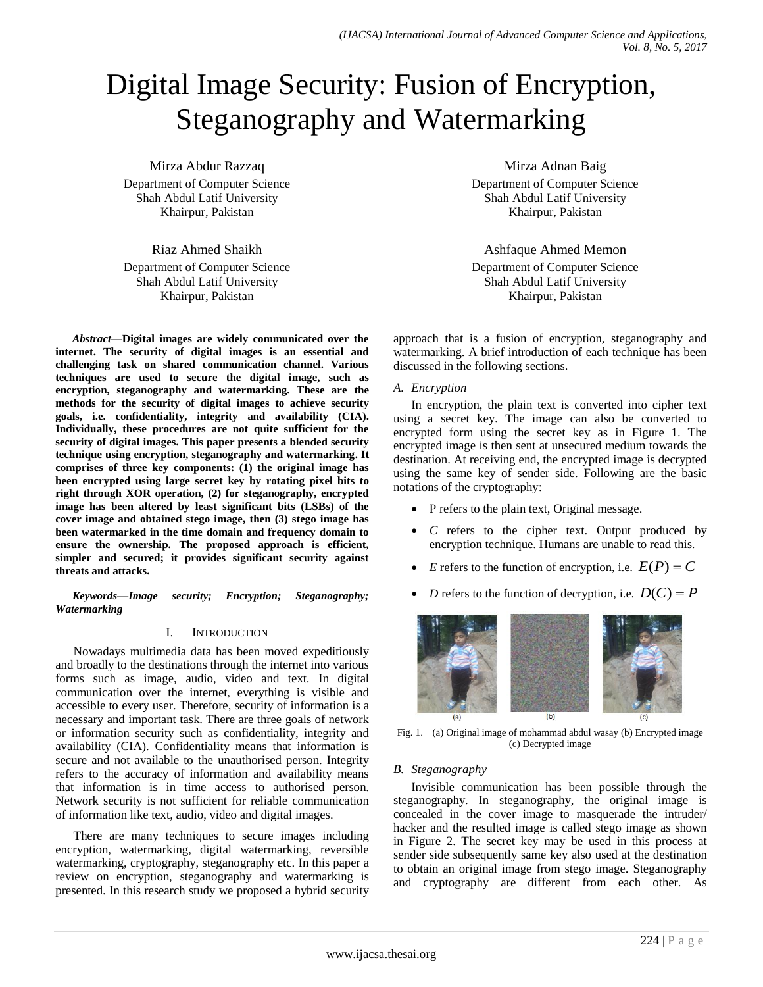# Digital Image Security: Fusion of Encryption, Steganography and Watermarking

Mirza Abdur Razzaq Department of Computer Science Shah Abdul Latif University Khairpur, Pakistan

Riaz Ahmed Shaikh Department of Computer Science Shah Abdul Latif University Khairpur, Pakistan

*Abstract***—Digital images are widely communicated over the internet. The security of digital images is an essential and challenging task on shared communication channel. Various techniques are used to secure the digital image, such as encryption, steganography and watermarking. These are the methods for the security of digital images to achieve security goals, i.e. confidentiality, integrity and availability (CIA). Individually, these procedures are not quite sufficient for the security of digital images. This paper presents a blended security technique using encryption, steganography and watermarking. It comprises of three key components: (1) the original image has been encrypted using large secret key by rotating pixel bits to right through XOR operation, (2) for steganography, encrypted image has been altered by least significant bits (LSBs) of the cover image and obtained stego image, then (3) stego image has been watermarked in the time domain and frequency domain to ensure the ownership. The proposed approach is efficient, simpler and secured; it provides significant security against threats and attacks.**

*Keywords—Image security; Encryption; Steganography; Watermarking*

# I. INTRODUCTION

Nowadays multimedia data has been moved expeditiously and broadly to the destinations through the internet into various forms such as image, audio, video and text. In digital communication over the internet, everything is visible and accessible to every user. Therefore, security of information is a necessary and important task. There are three goals of network or information security such as confidentiality, integrity and availability (CIA). Confidentiality means that information is secure and not available to the unauthorised person. Integrity refers to the accuracy of information and availability means that information is in time access to authorised person. Network security is not sufficient for reliable communication of information like text, audio, video and digital images.

There are many techniques to secure images including encryption, watermarking, digital watermarking, reversible watermarking, cryptography, steganography etc. In this paper a review on encryption, steganography and watermarking is presented. In this research study we proposed a hybrid security

Mirza Adnan Baig Department of Computer Science Shah Abdul Latif University Khairpur, Pakistan

Ashfaque Ahmed Memon Department of Computer Science Shah Abdul Latif University Khairpur, Pakistan

approach that is a fusion of encryption, steganography and watermarking. A brief introduction of each technique has been discussed in the following sections.

*A. Encryption*

In encryption, the plain text is converted into cipher text using a secret key. The image can also be converted to encrypted form using the secret key as in Figure 1. The encrypted image is then sent at unsecured medium towards the destination. At receiving end, the encrypted image is decrypted using the same key of sender side. Following are the basic notations of the cryptography:

- P refers to the plain text, Original message.
- *C* refers to the cipher text. Output produced by encryption technique. Humans are unable to read this.
- *E* refers to the function of encryption, i.e.  $E(P) = C$
- *D* refers to the function of decryption, i.e.  $D(C) = P$



Fig. 1. (a) Original image of mohammad abdul wasay (b) Encrypted image (c) Decrypted image

# *B. Steganography*

Invisible communication has been possible through the steganography. In steganography, the original image is concealed in the cover image to masquerade the intruder/ hacker and the resulted image is called stego image as shown in Figure 2. The secret key may be used in this process at sender side subsequently same key also used at the destination to obtain an original image from stego image. Steganography and cryptography are different from each other. As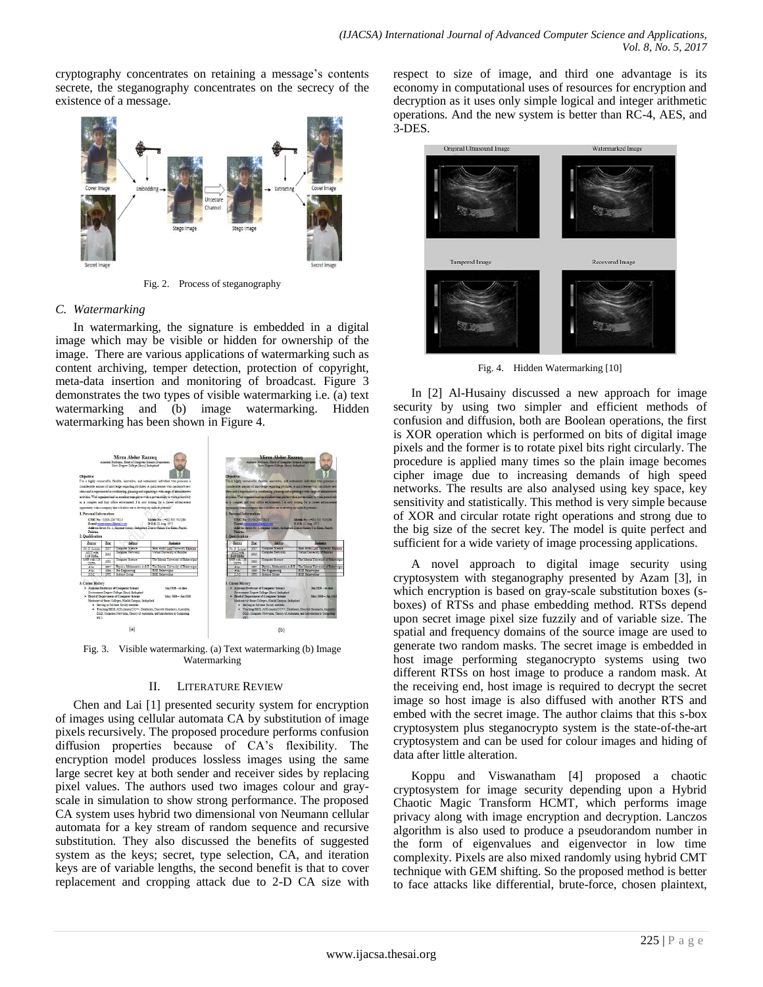cryptography concentrates on retaining a message's contents secrete, the steganography concentrates on the secrecy of the existence of a message.



Fig. 2. Process of steganography

# *C. Watermarking*

In watermarking, the signature is embedded in a digital image which may be visible or hidden for ownership of the image. There are various applications of watermarking such as content archiving, temper detection, protection of copyright, meta-data insertion and monitoring of broadcast. Figure 3 demonstrates the two types of visible watermarking i.e. (a) text watermarking and (b) image watermarking. Hidden watermarking has been shown in Figure 4.



Fig. 3. Visible watermarking. (a) Text watermarking (b) Image Watermarking

# II. LITERATURE REVIEW

Chen and Lai [1] presented security system for encryption of images using cellular automata CA by substitution of image pixels recursively. The proposed procedure performs confusion diffusion properties because of CA's flexibility. The encryption model produces lossless images using the same large secret key at both sender and receiver sides by replacing pixel values. The authors used two images colour and grayscale in simulation to show strong performance. The proposed CA system uses hybrid two dimensional von Neumann cellular automata for a key stream of random sequence and recursive substitution. They also discussed the benefits of suggested system as the keys; secret, type selection, CA, and iteration keys are of variable lengths, the second benefit is that to cover replacement and cropping attack due to 2-D CA size with respect to size of image, and third one advantage is its economy in computational uses of resources for encryption and decryption as it uses only simple logical and integer arithmetic operations. And the new system is better than RC-4, AES, and 3-DES.



Fig. 4. Hidden Watermarking [10]

In [2] Al-Husainy discussed a new approach for image security by using two simpler and efficient methods of confusion and diffusion, both are Boolean operations, the first is XOR operation which is performed on bits of digital image pixels and the former is to rotate pixel bits right circularly. The procedure is applied many times so the plain image becomes cipher image due to increasing demands of high speed networks. The results are also analysed using key space, key sensitivity and statistically. This method is very simple because of XOR and circular rotate right operations and strong due to the big size of the secret key. The model is quite perfect and sufficient for a wide variety of image processing applications.

A novel approach to digital image security using cryptosystem with steganography presented by Azam [3], in which encryption is based on gray-scale substitution boxes (sboxes) of RTSs and phase embedding method. RTSs depend upon secret image pixel size fuzzily and of variable size. The spatial and frequency domains of the source image are used to generate two random masks. The secret image is embedded in host image performing steganocrypto systems using two different RTSs on host image to produce a random mask. At the receiving end, host image is required to decrypt the secret image so host image is also diffused with another RTS and embed with the secret image. The author claims that this s-box cryptosystem plus steganocrypto system is the state-of-the-art cryptosystem and can be used for colour images and hiding of data after little alteration.

Koppu and Viswanatham [4] proposed a chaotic cryptosystem for image security depending upon a Hybrid Chaotic Magic Transform HCMT, which performs image privacy along with image encryption and decryption. Lanczos algorithm is also used to produce a pseudorandom number in the form of eigenvalues and eigenvector in low time complexity. Pixels are also mixed randomly using hybrid CMT technique with GEM shifting. So the proposed method is better to face attacks like differential, brute-force, chosen plaintext,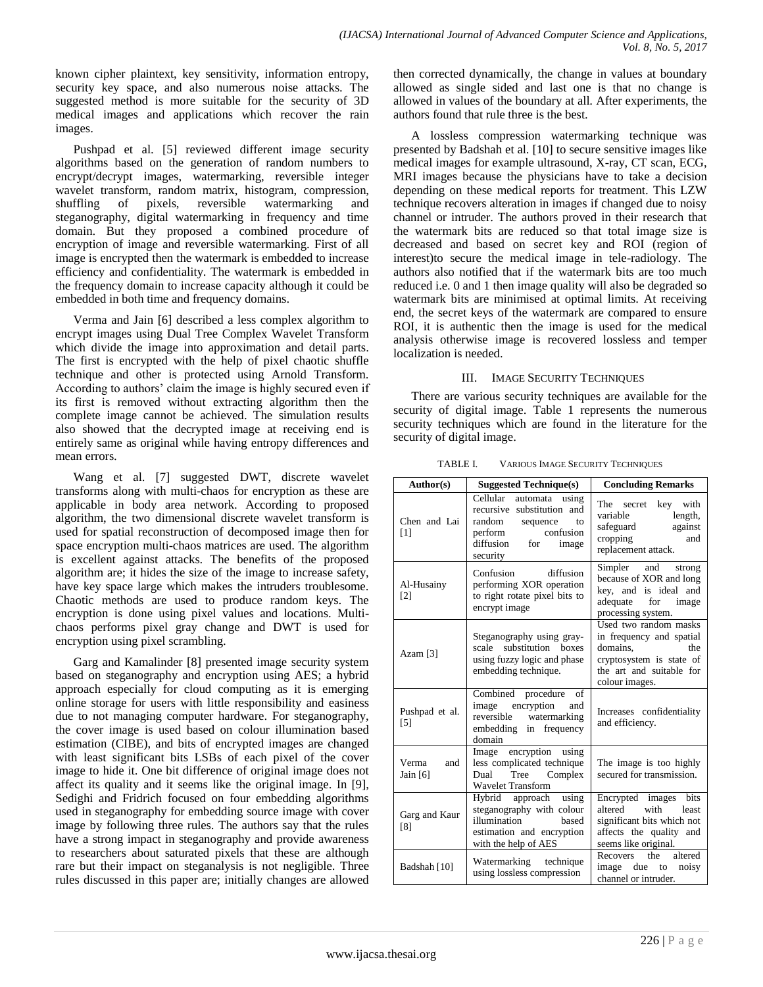known cipher plaintext, key sensitivity, information entropy, security key space, and also numerous noise attacks. The suggested method is more suitable for the security of 3D medical images and applications which recover the rain images.

Pushpad et al. [5] reviewed different image security algorithms based on the generation of random numbers to encrypt/decrypt images, watermarking, reversible integer wavelet transform, random matrix, histogram, compression, shuffling of pixels, reversible watermarking and steganography, digital watermarking in frequency and time domain. But they proposed a combined procedure of encryption of image and reversible watermarking. First of all image is encrypted then the watermark is embedded to increase efficiency and confidentiality. The watermark is embedded in the frequency domain to increase capacity although it could be embedded in both time and frequency domains.

Verma and Jain [6] described a less complex algorithm to encrypt images using Dual Tree Complex Wavelet Transform which divide the image into approximation and detail parts. The first is encrypted with the help of pixel chaotic shuffle technique and other is protected using Arnold Transform. According to authors' claim the image is highly secured even if its first is removed without extracting algorithm then the complete image cannot be achieved. The simulation results also showed that the decrypted image at receiving end is entirely same as original while having entropy differences and mean errors.

Wang et al. [7] suggested DWT, discrete wavelet transforms along with multi-chaos for encryption as these are applicable in body area network. According to proposed algorithm, the two dimensional discrete wavelet transform is used for spatial reconstruction of decomposed image then for space encryption multi-chaos matrices are used. The algorithm is excellent against attacks. The benefits of the proposed algorithm are; it hides the size of the image to increase safety, have key space large which makes the intruders troublesome. Chaotic methods are used to produce random keys. The encryption is done using pixel values and locations. Multichaos performs pixel gray change and DWT is used for encryption using pixel scrambling.

Garg and Kamalinder [8] presented image security system based on steganography and encryption using AES; a hybrid approach especially for cloud computing as it is emerging online storage for users with little responsibility and easiness due to not managing computer hardware. For steganography, the cover image is used based on colour illumination based estimation (CIBE), and bits of encrypted images are changed with least significant bits LSBs of each pixel of the cover image to hide it. One bit difference of original image does not affect its quality and it seems like the original image. In [9], Sedighi and Fridrich focused on four embedding algorithms used in steganography for embedding source image with cover image by following three rules. The authors say that the rules have a strong impact in steganography and provide awareness to researchers about saturated pixels that these are although rare but their impact on steganalysis is not negligible. Three rules discussed in this paper are; initially changes are allowed

then corrected dynamically, the change in values at boundary allowed as single sided and last one is that no change is allowed in values of the boundary at all. After experiments, the authors found that rule three is the best.

A lossless compression watermarking technique was presented by Badshah et al. [10] to secure sensitive images like medical images for example ultrasound, X-ray, CT scan, ECG, MRI images because the physicians have to take a decision depending on these medical reports for treatment. This LZW technique recovers alteration in images if changed due to noisy channel or intruder. The authors proved in their research that the watermark bits are reduced so that total image size is decreased and based on secret key and ROI (region of interest)to secure the medical image in tele-radiology. The authors also notified that if the watermark bits are too much reduced i.e. 0 and 1 then image quality will also be degraded so watermark bits are minimised at optimal limits. At receiving end, the secret keys of the watermark are compared to ensure ROI, it is authentic then the image is used for the medical analysis otherwise image is recovered lossless and temper localization is needed.

## III. IMAGE SECURITY TECHNIQUES

There are various security techniques are available for the security of digital image. Table 1 represents the numerous security techniques which are found in the literature for the security of digital image.

| Author(s)                       | <b>Suggested Technique(s)</b>                                                                                                                   | <b>Concluding Remarks</b>                                                                                                                      |
|---------------------------------|-------------------------------------------------------------------------------------------------------------------------------------------------|------------------------------------------------------------------------------------------------------------------------------------------------|
| Chen and Lai<br>[1]             | Cellular<br>automata using<br>recursive substitution and<br>random sequence<br>to<br>confusion<br>perform<br>diffusion for<br>image<br>security | The secret key with<br>variable<br>length,<br>safeguard<br>against<br>cropping<br>and<br>replacement attack.                                   |
| Al-Husainy<br>$\lceil 2 \rceil$ | Confusion<br>diffusion<br>performing XOR operation<br>to right rotate pixel bits to<br>encrypt image                                            | Simpler and<br>strong<br>because of XOR and long<br>key, and is ideal and<br>adequate<br>for<br>image<br>processing system.                    |
| Azam $[3]$                      | Steganography using gray-<br>scale substitution boxes<br>using fuzzy logic and phase<br>embedding technique.                                    | Used two random masks<br>in frequency and spatial<br>domains,<br>the<br>cryptosystem is state of<br>the art and suitable for<br>colour images. |
| Pushpad et al.<br>[5]           | Combined procedure<br>of<br>image encryption<br>and<br>reversible<br>watermarking<br>embedding in frequency<br>domain                           | Increases confidentiality<br>and efficiency.                                                                                                   |
| Verma<br>and<br>Jain $[6]$      | Image encryption using<br>less complicated technique<br>Tree<br>Complex<br>Dual<br><b>Wavelet Transform</b>                                     | The image is too highly<br>secured for transmission.                                                                                           |
| Garg and Kaur<br>[8]            | Hybrid approach using<br>steganography with colour<br>illumination<br>based<br>estimation and encryption<br>with the help of AES                | Encrypted images<br><b>bits</b><br>altered<br>with<br>least<br>significant bits which not<br>affects the quality and<br>seems like original.   |
| Badshah [10]                    | Watermarking technique<br>using lossless compression                                                                                            | Recovers<br>the altered<br>image due to<br>noisy<br>channel or intruder.                                                                       |

TABLE I. VARIOUS IMAGE SECURITY TECHNIQUES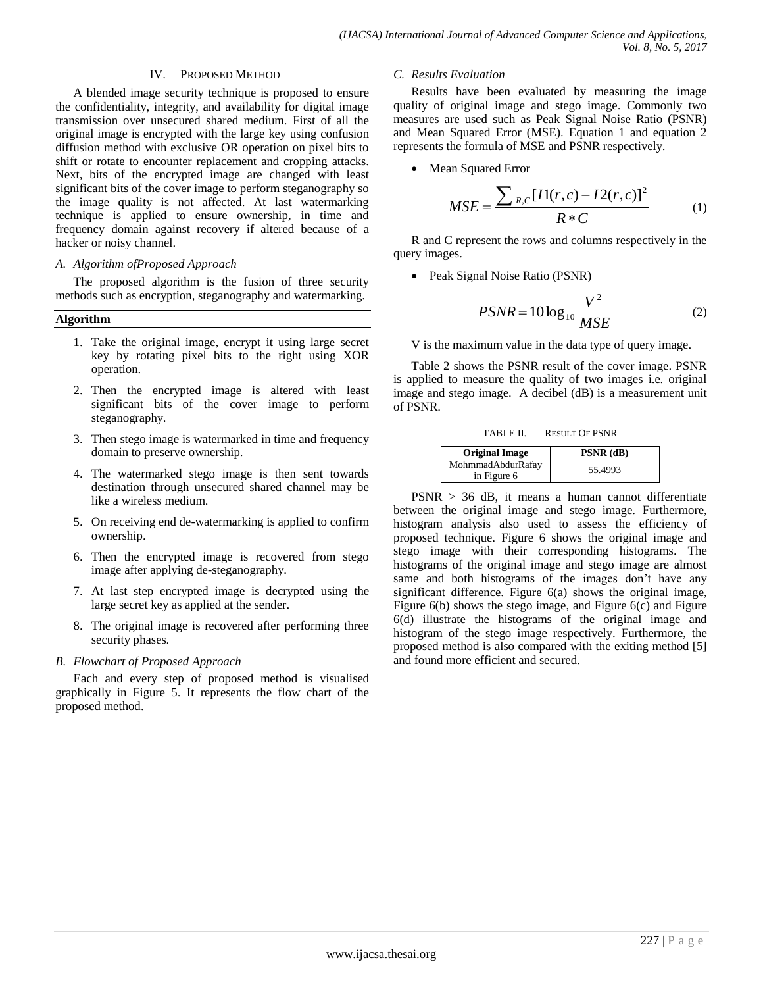#### IV. PROPOSED METHOD

A blended image security technique is proposed to ensure the confidentiality, integrity, and availability for digital image transmission over unsecured shared medium. First of all the original image is encrypted with the large key using confusion diffusion method with exclusive OR operation on pixel bits to shift or rotate to encounter replacement and cropping attacks. Next, bits of the encrypted image are changed with least significant bits of the cover image to perform steganography so the image quality is not affected. At last watermarking technique is applied to ensure ownership, in time and frequency domain against recovery if altered because of a hacker or noisy channel.

## *A. Algorithm ofProposed Approach*

The proposed algorithm is the fusion of three security methods such as encryption, steganography and watermarking.

#### **Algorithm**

- 1. Take the original image, encrypt it using large secret key by rotating pixel bits to the right using XOR operation.
- 2. Then the encrypted image is altered with least significant bits of the cover image to perform steganography.
- 3. Then stego image is watermarked in time and frequency domain to preserve ownership.
- 4. The watermarked stego image is then sent towards destination through unsecured shared channel may be like a wireless medium.
- 5. On receiving end de-watermarking is applied to confirm ownership.
- 6. Then the encrypted image is recovered from stego image after applying de-steganography.
- 7. At last step encrypted image is decrypted using the large secret key as applied at the sender.
- 8. The original image is recovered after performing three security phases.

## *B. Flowchart of Proposed Approach*

Each and every step of proposed method is visualised graphically in Figure 5. It represents the flow chart of the proposed method.

#### *C. Results Evaluation*

Results have been evaluated by measuring the image quality of original image and stego image. Commonly two measures are used such as Peak Signal Noise Ratio (PSNR) and Mean Squared Error (MSE). Equation 1 and equation 2 represents the formula of MSE and PSNR respectively.

• Mean Squared Error

$$
MSE = \frac{\sum_{R,C} [I1(r,c) - I2(r,c)]^2}{R*C}
$$
 (1)

R and C represent the rows and columns respectively in the query images.

• Peak Signal Noise Ratio (PSNR)

$$
PSNR = 10 \log_{10} \frac{V^2}{MSE}
$$
 (2)

V is the maximum value in the data type of query image.

Table 2 shows the PSNR result of the cover image. PSNR is applied to measure the quality of two images i.e. original image and stego image. A decibel (dB) is a measurement unit of PSNR.

TABLE II. RESULT OF PSNR

| <b>Original Image</b>            | <b>PSNR</b> (dB) |
|----------------------------------|------------------|
| MohmmadAbdurRafay<br>in Figure 6 | 55.4993          |

 $PSNR > 36$  dB, it means a human cannot differentiate between the original image and stego image. Furthermore, histogram analysis also used to assess the efficiency of proposed technique. Figure 6 shows the original image and stego image with their corresponding histograms. The histograms of the original image and stego image are almost same and both histograms of the images don't have any significant difference. Figure 6(a) shows the original image, Figure 6(b) shows the stego image, and Figure 6(c) and Figure 6(d) illustrate the histograms of the original image and histogram of the stego image respectively. Furthermore, the proposed method is also compared with the exiting method [5] and found more efficient and secured.